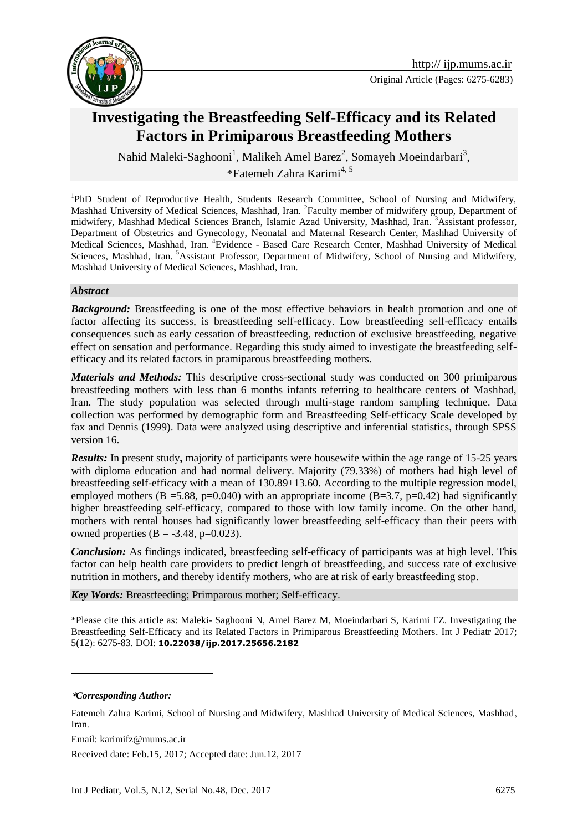

# **Investigating the Breastfeeding Self-Efficacy and its Related Factors in Primiparous Breastfeeding Mothers**

Nahid Maleki-Saghooni<sup>1</sup>, Malikeh Amel Barez<sup>2</sup>, Somayeh Moeindarbari<sup>3</sup>, [\\*Fatemeh Zahra Karimi](http://ijp.mums.ac.ir/?_action=article&au=90530&_au=Fatemeh+Zahra++Karimi)<sup>4, 5</sup>

<sup>1</sup>PhD Student of Reproductive Health, Students Research Committee, School of Nursing and Midwifery, Mashhad University of Medical Sciences, Mashhad, Iran. <sup>2</sup> Faculty member of midwifery group, Department of midwifery, Mashhad Medical Sciences Branch, Islamic Azad University, Mashhad, Iran. <sup>3</sup>Assistant professor, Department of Obstetrics and Gynecology, Neonatal and Maternal Research Center, Mashhad University of Medical Sciences, Mashhad, Iran. <sup>4</sup>Evidence - Based Care Research Center, Mashhad University of Medical Sciences, Mashhad, Iran. <sup>5</sup>Assistant Professor, Department of Midwifery, School of Nursing and Midwifery, Mashhad University of Medical Sciences, Mashhad, Iran.

#### *Abstract*

**Background:** Breastfeeding is one of the most effective behaviors in health promotion and one of factor affecting its success, is breastfeeding self-efficacy. Low breastfeeding self-efficacy entails consequences such as early cessation of breastfeeding, reduction of exclusive breastfeeding, negative effect on sensation and performance. Regarding this study aimed to investigate the breastfeeding selfefficacy and its related factors in pramiparous breastfeeding mothers.

*Materials and Methods:* This descriptive cross-sectional study was conducted on 300 primiparous breastfeeding mothers with less than 6 months infants referring to healthcare centers of Mashhad, Iran. The study population was selected through multi-stage random sampling technique. Data collection was performed by demographic form and Breastfeeding Self-efficacy Scale developed by fax and Dennis (1999). Data were analyzed using descriptive and inferential statistics, through SPSS version 16.

*Results:* In present study**,** majority of participants were housewife within the age range of 15-25 years with diploma education and had normal delivery. Majority (79.33%) of mothers had high level of breastfeeding self-efficacy with a mean of 130.89±13.60. According to the multiple regression model, employed mothers (B = 5.88, p=0.040) with an appropriate income (B=3.7, p=0.42) had significantly higher breastfeeding self-efficacy, compared to those with low family income. On the other hand, mothers with rental houses had significantly lower breastfeeding self-efficacy than their peers with owned properties  $(B = -3.48, p=0.023)$ .

*Conclusion:* As findings indicated, breastfeeding self-efficacy of participants was at high level. This factor can help health care providers to predict length of breastfeeding, and success rate of exclusive nutrition in mothers, and thereby identify mothers, who are at risk of early breastfeeding stop.

*Key Words:* Breastfeeding; Primparous mother; Self-efficacy.

\*Please cite this article as: Maleki- Saghooni N, Amel Barez M, Moeindarbari S, Karimi FZ. Investigating the Breastfeeding Self-Efficacy and its Related Factors in Primiparous Breastfeeding Mothers. Int J Pediatr 2017; 5(12): 6275-83. DOI: **10.22038/ijp.2017.25656.2182**

**\****Corresponding Author:*

<u>.</u>

Received date: Feb.15, 2017; Accepted date: Jun.12, 2017

[Fatemeh Zahra Karimi,](http://ijp.mums.ac.ir/?_action=article&au=90530&_au=Fatemeh+Zahra++Karimi) School of Nursing and Midwifery, Mashhad University of Medical Sciences, Mashhad, Iran.

Email: karimifz@mums.ac.ir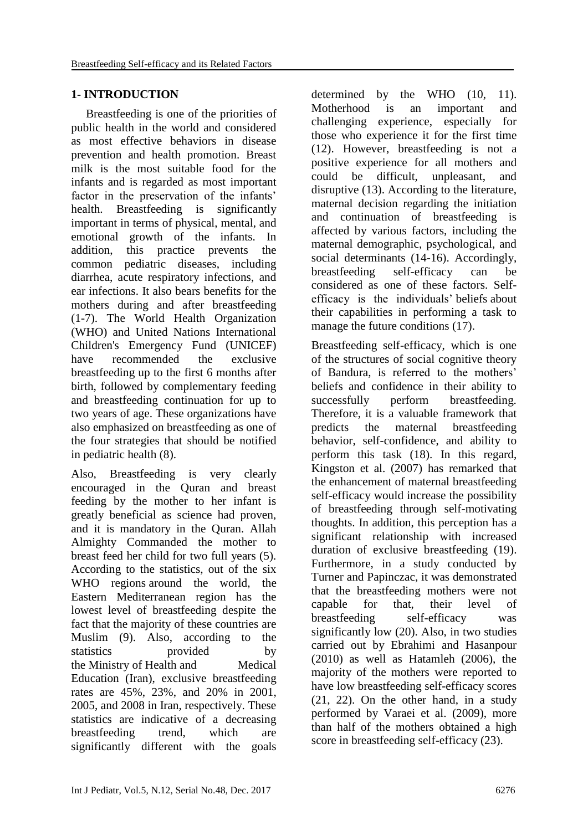## **1- INTRODUCTION**

 Breastfeeding is one of the priorities of public health in the world and considered as most effective behaviors in disease prevention and health promotion. Breast milk is the most suitable food for the infants and is regarded as most important factor in the preservation of the infants' health. Breastfeeding is significantly important in terms of physical, mental, and emotional growth of the infants. In addition, this practice prevents the common pediatric diseases, including diarrhea, acute respiratory infections, and ear infections. It also bears benefits for the mothers during and after breastfeeding (1-7). The World Health Organization (WHO) and United Nations International Children's Emergency Fund (UNICEF) have recommended the exclusive breastfeeding up to the first 6 months after birth, followed by complementary feeding and breastfeeding continuation for up to two years of age. These organizations have also emphasized on breastfeeding as one of the four strategies that should be notified in pediatric health (8).

Also, Breastfeeding is very clearly encouraged in the Quran and breast feeding by the mother to her infant is greatly beneficial as science had proven, and it is mandatory in the Quran. Allah Almighty Commanded the mother to breast feed her child for two full years (5). According to the statistics, out of the six WHO regions around the world, the Eastern Mediterranean region has the lowest level of breastfeeding despite the fact that the majority of these countries are Muslim (9). Also, according to the statistics provided by the Ministry of Health and Medical Education (Iran), exclusive breastfeeding rates are 45%, 23%, and 20% in 2001, 2005, and 2008 in Iran, respectively. These statistics are indicative of a decreasing breastfeeding trend, which are significantly different with the goals

determined by the WHO (10, 11). Motherhood is an important and challenging experience, especially for those who experience it for the first time (12). However, breastfeeding is not a positive experience for all mothers and could be difficult, unpleasant, and disruptive (13). According to the literature, maternal decision regarding the initiation and continuation of breastfeeding is affected by various factors, including the maternal demographic, psychological, and social determinants (14-16). Accordingly, breastfeeding self-efficacy can be considered as one of these factors. Selfefficacy is the individuals' beliefs about their capabilities in performing a task to manage the future conditions (17).

Breastfeeding self-efficacy, which is one of the structures of social cognitive theory of Bandura, is referred to the mothers' beliefs and confidence in their ability to successfully perform breastfeeding. Therefore, it is a valuable framework that predicts the maternal breastfeeding behavior, self-confidence, and ability to perform this task (18). In this regard, Kingston et al. (2007) has remarked that the enhancement of maternal breastfeeding self-efficacy would increase the possibility of breastfeeding through self-motivating thoughts. In addition, this perception has a significant relationship with increased duration of exclusive breastfeeding (19). Furthermore, in a study conducted by Turner and Papinczac, it was demonstrated that the breastfeeding mothers were not capable for that, their level of breastfeeding self-efficacy was significantly low (20). Also, in two studies carried out by Ebrahimi and Hasanpour (2010) as well as Hatamleh (2006), the majority of the mothers were reported to have low breastfeeding self-efficacy scores (21, 22). On the other hand, in a study performed by Varaei et al. (2009), more than half of the mothers obtained a high score in breastfeeding self-efficacy (23).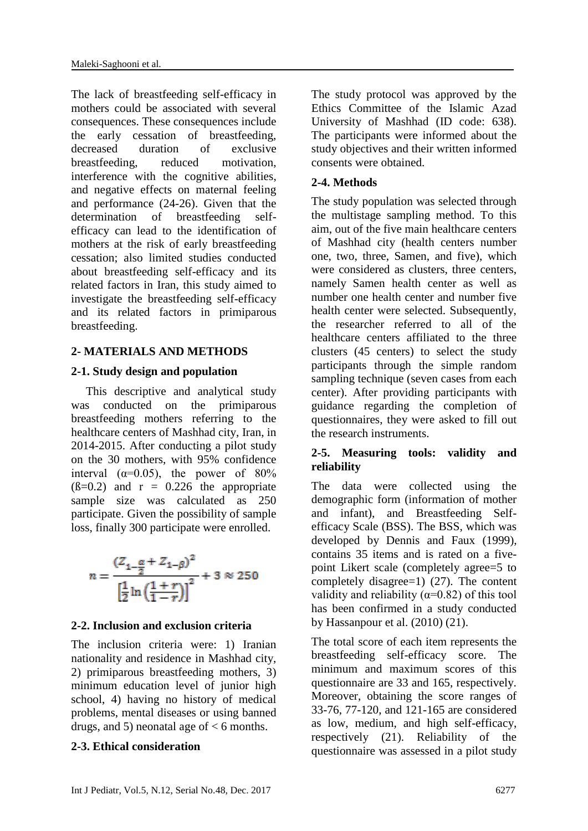The lack of breastfeeding self-efficacy in mothers could be associated with several consequences. These consequences include the early cessation of breastfeeding, decreased duration of exclusive breastfeeding, reduced motivation, interference with the cognitive abilities, and negative effects on maternal feeling and performance (24-26). Given that the determination of breastfeeding selfefficacy can lead to the identification of mothers at the risk of early breastfeeding cessation; also limited studies conducted about breastfeeding self-efficacy and its related factors in Iran, this study aimed to investigate the breastfeeding self-efficacy and its related factors in primiparous breastfeeding.

## **2- MATERIALS AND METHODS**

## **2-1. Study design and population**

 This descriptive and analytical study was conducted on the primiparous breastfeeding mothers referring to the healthcare centers of Mashhad city, Iran, in 2014-2015. After conducting a pilot study on the 30 mothers, with 95% confidence interval  $(\alpha=0.05)$ , the power of 80%  $(\beta=0.2)$  and  $r = 0.226$  the appropriate sample size was calculated as 250 participate. Given the possibility of sample loss, finally 300 participate were enrolled.

$$
n = \frac{(Z_{1-\frac{\alpha}{2}} + Z_{1-\beta})^2}{\left[\frac{1}{2}\ln\left(\frac{1+r}{1-r}\right)\right]^2} + 3 \approx 250
$$

## **2-2. Inclusion and exclusion criteria**

The inclusion criteria were: 1) Iranian nationality and residence in Mashhad city, 2) primiparous breastfeeding mothers, 3) minimum education level of junior high school, 4) having no history of medical problems, mental diseases or using banned drugs, and 5) neonatal age of  $<$  6 months.

## **2-3. Ethical consideration**

The study protocol was approved by the Ethics Committee of the Islamic Azad University of Mashhad (ID code: 638). The participants were informed about the study objectives and their written informed consents were obtained.

## **2-4. Methods**

The study population was selected through the multistage sampling method. To this aim, out of the five main healthcare centers of Mashhad city (health centers number one, two, three, Samen, and five), which were considered as clusters, three centers, namely Samen health center as well as number one health center and number five health center were selected. Subsequently, the researcher referred to all of the healthcare centers affiliated to the three clusters (45 centers) to select the study participants through the simple random sampling technique (seven cases from each center). After providing participants with guidance regarding the completion of questionnaires, they were asked to fill out the research instruments.

## **2-5. Measuring tools: validity and reliability**

The data were collected using the demographic form (information of mother and infant), and Breastfeeding Selfefficacy Scale (BSS). The BSS, which was developed by Dennis and Faux (1999), contains 35 items and is rated on a fivepoint Likert scale (completely agree=5 to completely disagree=1) (27). The content validity and reliability ( $\alpha$ =0.82) of this tool has been confirmed in a study conducted by Hassanpour et al. (2010) (21).

The total score of each item represents the breastfeeding self-efficacy score. The minimum and maximum scores of this questionnaire are 33 and 165, respectively. Moreover, obtaining the score ranges of 33-76, 77-120, and 121-165 are considered as low, medium, and high self-efficacy, respectively (21). Reliability of the questionnaire was assessed in a pilot study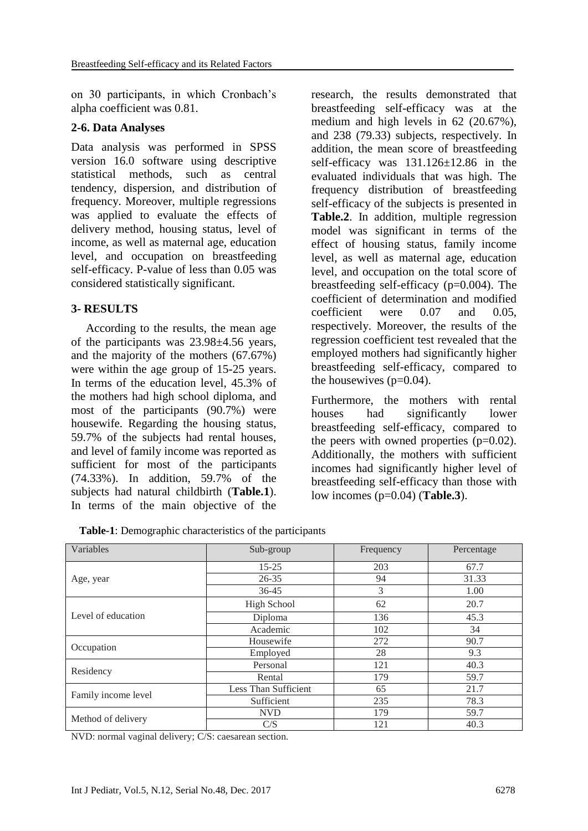on 30 participants, in which Cronbach's alpha coefficient was 0.81.

#### **2-6. Data Analyses**

Data analysis was performed in SPSS version 16.0 software using descriptive statistical methods, such as central tendency, dispersion, and distribution of frequency. Moreover, multiple regressions was applied to evaluate the effects of delivery method, housing status, level of income, as well as maternal age, education level, and occupation on breastfeeding self-efficacy. P-value of less than 0.05 was considered statistically significant.

#### **3- RESULTS**

 According to the results, the mean age of the participants was 23.98±4.56 years, and the majority of the mothers (67.67%) were within the age group of 15-25 years. In terms of the education level, 45.3% of the mothers had high school diploma, and most of the participants (90.7%) were housewife. Regarding the housing status, 59.7% of the subjects had rental houses, and level of family income was reported as sufficient for most of the participants (74.33%). In addition, 59.7% of the subjects had natural childbirth (**Table.1**). In terms of the main objective of the

research, the results demonstrated that breastfeeding self-efficacy was at the medium and high levels in 62 (20.67%), and 238 (79.33) subjects, respectively. In addition, the mean score of breastfeeding self-efficacy was  $131.126 \pm 12.86$  in the evaluated individuals that was high. The frequency distribution of breastfeeding self-efficacy of the subjects is presented in **Table.2**. In addition, multiple regression model was significant in terms of the effect of housing status, family income level, as well as maternal age, education level, and occupation on the total score of breastfeeding self-efficacy (p=0.004). The coefficient of determination and modified coefficient were 0.07 and 0.05, respectively. Moreover, the results of the regression coefficient test revealed that the employed mothers had significantly higher breastfeeding self-efficacy, compared to the housewives  $(p=0.04)$ .

Furthermore, the mothers with rental houses had significantly lower breastfeeding self-efficacy, compared to the peers with owned properties  $(p=0.02)$ . Additionally, the mothers with sufficient incomes had significantly higher level of breastfeeding self-efficacy than those with low incomes (p=0.04) (**Table.3**).

| Variables           | Sub-group            | Frequency | Percentage |
|---------------------|----------------------|-----------|------------|
|                     | $15 - 25$            | 203       | 67.7       |
| Age, year           | $26 - 35$            | 94        | 31.33      |
|                     | 3<br>$36 - 45$       |           | 1.00       |
| Level of education  | <b>High School</b>   | 62        | 20.7       |
|                     | Diploma              | 136       | 45.3       |
|                     | Academic             | 102       | 34         |
|                     | Housewife            | 272       | 90.7       |
| Occupation          | Employed             | 28        | 9.3        |
| Residency           | Personal             | 121       | 40.3       |
|                     | 179<br>Rental        |           | 59.7       |
| Family income level | Less Than Sufficient | 65        | 21.7       |
|                     | Sufficient           | 235       | 78.3       |
|                     | <b>NVD</b>           | 179       | 59.7       |
| Method of delivery  | C/S                  | 121       | 40.3       |

**Table-1**: Demographic characteristics of the participants

NVD: normal vaginal delivery; C/S: caesarean section.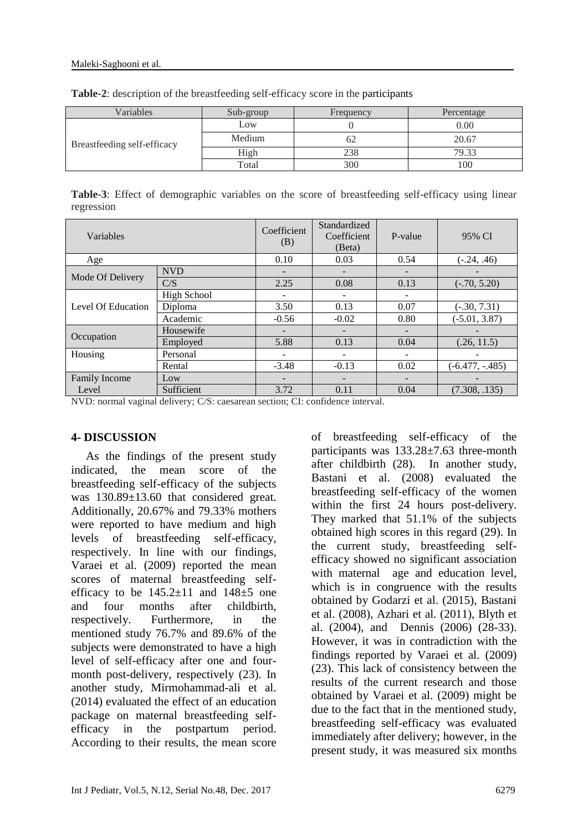| Variables                   | Sub-group | Frequency | Percentage |
|-----------------------------|-----------|-----------|------------|
|                             | Low       |           | 0.00       |
| Breastfeeding self-efficacy | Medium    | 62        | 20.67      |
|                             | High      | 238       | 79.33      |
|                             | Total     | 300       | 100        |

**Table-2**: description of the breastfeeding self-efficacy score in the participants

**Table-3**: Effect of demographic variables on the score of breastfeeding self-efficacy using linear regression

| Variables            |             | Coefficient<br>(B) | Standardized<br>Coefficient<br>(Beta) | P-value                  | 95% CI             |
|----------------------|-------------|--------------------|---------------------------------------|--------------------------|--------------------|
| Age                  |             | 0.10               | 0.03                                  | 0.54                     | $(-.24, .46)$      |
| Mode Of Delivery     | <b>NVD</b>  |                    | -                                     | $\overline{\phantom{0}}$ |                    |
|                      | C/S         | 2.25               | 0.08                                  | 0.13                     | $(-.70, 5.20)$     |
| Level Of Education   | High School |                    | -                                     | -                        |                    |
|                      | Diploma     | 3.50               | 0.13                                  | 0.07                     | $(-.30, 7.31)$     |
|                      | Academic    | $-0.56$            | $-0.02$                               | 0.80                     | $(-5.01, 3.87)$    |
| Occupation           | Housewife   |                    |                                       |                          |                    |
|                      | Employed    | 5.88               | 0.13                                  | 0.04                     | (.26, 11.5)        |
| Housing              | Personal    |                    |                                       |                          |                    |
|                      | Rental      | $-3.48$            | $-0.13$                               | 0.02                     | $(-6.477, -0.485)$ |
| Family Income<br>Low |             |                    |                                       |                          |                    |
| Level                | Sufficient  | 3.72               | 0.11                                  | 0.04                     | (7.308, .135)      |

NVD: normal vaginal delivery; C/S: caesarean section; CI: confidence interval.

#### **4- DISCUSSION**

 As the findings of the present study indicated, the mean score of the breastfeeding self-efficacy of the subjects was 130.89±13.60 that considered great. Additionally, 20.67% and 79.33% mothers were reported to have medium and high levels of breastfeeding self-efficacy, respectively. In line with our findings, Varaei et al. (2009) reported the mean scores of maternal breastfeeding selfefficacy to be  $145.2 \pm 11$  and  $148 \pm 5$  one and four months after childbirth, respectively. Furthermore, in the mentioned study 76.7% and 89.6% of the subjects were demonstrated to have a high level of self-efficacy after one and fourmonth post-delivery, respectively (23). In another study, Mirmohammad-ali et al. (2014) evaluated the effect of an education package on maternal breastfeeding selfefficacy in the postpartum period. According to their results, the mean score

of breastfeeding self-efficacy of the participants was 133.28±7.63 three-month after childbirth (28). In another study, Bastani et al. (2008) evaluated the breastfeeding self-efficacy of the women within the first 24 hours post-delivery. They marked that 51.1% of the subjects obtained high scores in this regard (29). In the current study, breastfeeding selfefficacy showed no significant association with maternal age and education level, which is in congruence with the results obtained by Godarzi et al. (2015), Bastani et al. (2008), Azhari et al. (2011), Blyth et al. (2004), and Dennis (2006) (28-33). However, it was in contradiction with the findings reported by Varaei et al. (2009) (23). This lack of consistency between the results of the current research and those obtained by Varaei et al. (2009) might be due to the fact that in the mentioned study, breastfeeding self-efficacy was evaluated immediately after delivery; however, in the present study, it was measured six months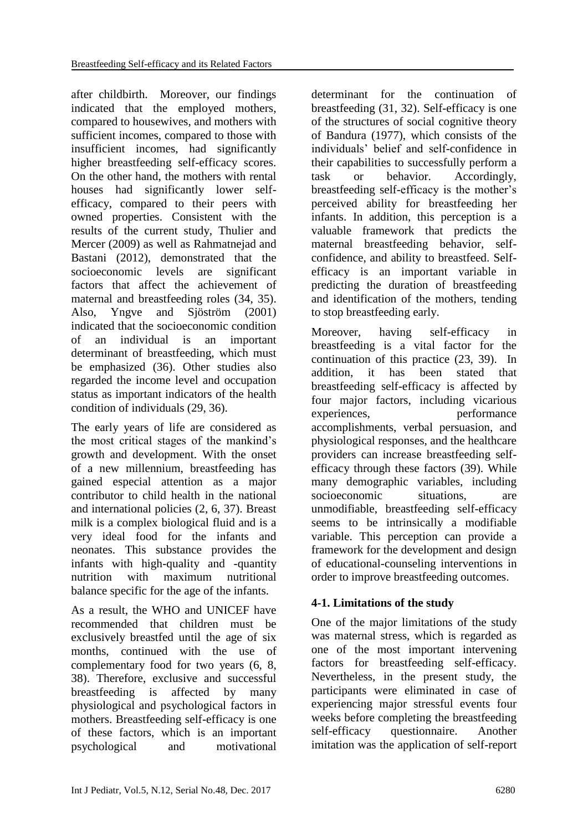after childbirth. Moreover, our findings indicated that the employed mothers, compared to housewives, and mothers with sufficient incomes, compared to those with insufficient incomes, had significantly higher breastfeeding self-efficacy scores. On the other hand, the mothers with rental houses had significantly lower selfefficacy, compared to their peers with owned properties. Consistent with the results of the current study, Thulier and Mercer (2009) as well as Rahmatnejad and Bastani (2012), demonstrated that the socioeconomic levels are significant factors that affect the achievement of maternal and breastfeeding roles (34, 35). Also, Yngve and Sjöström (2001) indicated that the socioeconomic condition of an individual is an important determinant of breastfeeding, which must be emphasized (36). Other studies also regarded the income level and occupation status as important indicators of the health condition of individuals (29, 36).

The early years of life are considered as the most critical stages of the mankind's growth and development. With the onset of a new millennium, breastfeeding has gained especial attention as a major contributor to child health in the national and international policies (2, 6, 37). Breast milk is a complex biological fluid and is a very ideal food for the infants and neonates. This substance provides the infants with high-quality and -quantity nutrition with maximum nutritional balance specific for the age of the infants.

As a result, the WHO and UNICEF have recommended that children must be exclusively breastfed until the age of six months, continued with the use of complementary food for two years (6, 8, 38). Therefore, exclusive and successful breastfeeding is affected by many physiological and psychological factors in mothers. Breastfeeding self-efficacy is one of these factors, which is an important psychological and motivational

determinant for the continuation of breastfeeding (31, 32). Self-efficacy is one of the structures of social cognitive theory of Bandura (1977), which consists of the individuals' belief and self-confidence in their capabilities to successfully perform a task or behavior. Accordingly, breastfeeding self-efficacy is the mother's perceived ability for breastfeeding her infants. In addition, this perception is a valuable framework that predicts the maternal breastfeeding behavior, selfconfidence, and ability to breastfeed. Selfefficacy is an important variable in predicting the duration of breastfeeding and identification of the mothers, tending to stop breastfeeding early.

Moreover, having self-efficacy in breastfeeding is a vital factor for the continuation of this practice (23, 39). In addition, it has been stated that breastfeeding self-efficacy is affected by four major factors, including vicarious experiences. berformance accomplishments, verbal persuasion, and physiological responses, and the healthcare providers can increase breastfeeding selfefficacy through these factors (39). While many demographic variables, including socioeconomic situations, are unmodifiable, breastfeeding self-efficacy seems to be intrinsically a modifiable variable. This perception can provide a framework for the development and design of educational-counseling interventions in order to improve breastfeeding outcomes.

# **4-1. Limitations of the study**

One of the major limitations of the study was maternal stress, which is regarded as one of the most important intervening factors for breastfeeding self-efficacy. Nevertheless, in the present study, the participants were eliminated in case of experiencing major stressful events four weeks before completing the breastfeeding self-efficacy questionnaire. Another imitation was the application of self-report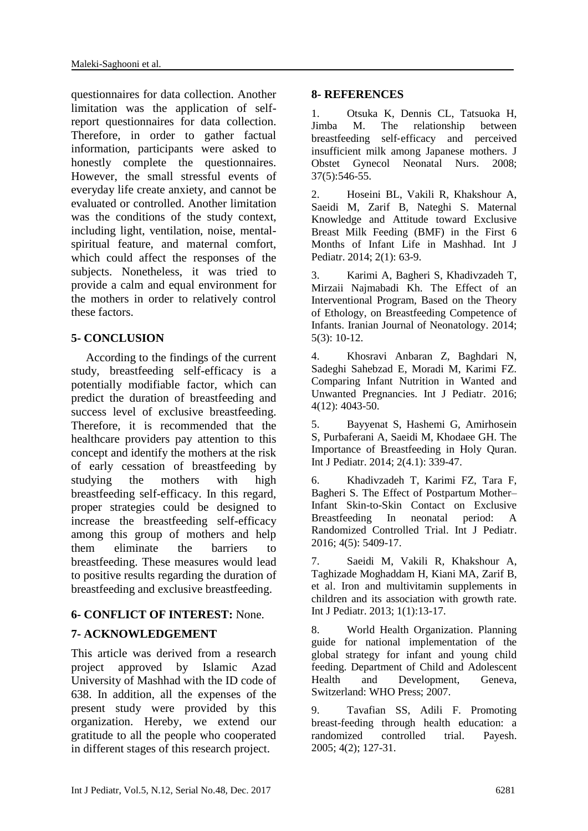questionnaires for data collection. Another limitation was the application of selfreport questionnaires for data collection. Therefore, in order to gather factual information, participants were asked to honestly complete the questionnaires. However, the small stressful events of everyday life create anxiety, and cannot be evaluated or controlled. Another limitation was the conditions of the study context, including light, ventilation, noise, mentalspiritual feature, and maternal comfort, which could affect the responses of the subjects. Nonetheless, it was tried to provide a calm and equal environment for the mothers in order to relatively control these factors.

# **5- CONCLUSION**

 According to the findings of the current study, breastfeeding self-efficacy is a potentially modifiable factor, which can predict the duration of breastfeeding and success level of exclusive breastfeeding. Therefore, it is recommended that the healthcare providers pay attention to this concept and identify the mothers at the risk of early cessation of breastfeeding by studying the mothers with high breastfeeding self-efficacy. In this regard, proper strategies could be designed to increase the breastfeeding self-efficacy among this group of mothers and help them eliminate the barriers to breastfeeding. These measures would lead to positive results regarding the duration of breastfeeding and exclusive breastfeeding.

## **6- CONFLICT OF INTEREST:** None.

## **7- ACKNOWLEDGEMENT**

This article was derived from a research project approved by Islamic Azad University of Mashhad with the ID code of 638. In addition, all the expenses of the present study were provided by this organization. Hereby, we extend our gratitude to all the people who cooperated in different stages of this research project.

#### **8- REFERENCES**

1. Otsuka K, Dennis CL, Tatsuoka H, Jimba M. The relationship between breastfeeding self‐efficacy and perceived insufficient milk among Japanese mothers. [J](https://www.ncbi.nlm.nih.gov/pubmed/18811774)  [Obstet Gynecol Neonatal Nurs.](https://www.ncbi.nlm.nih.gov/pubmed/18811774) 2008; 37(5):546-55.

2. Hoseini BL, Vakili R, Khakshour A, Saeidi M, Zarif B, Nateghi S. Maternal Knowledge and Attitude toward Exclusive Breast Milk Feeding (BMF) in the First 6 Months of Infant Life in Mashhad. Int J Pediatr. 2014; 2(1): 63-9.

3. Karimi A, Bagheri S, Khadivzadeh T, Mirzaii Najmabadi Kh. The Effect of an Interventional Program, Based on the Theory of Ethology, on Breastfeeding Competence of Infants. Iranian Journal of Neonatology. 2014; 5(3): 10-12.

4. Khosravi Anbaran Z, Baghdari N, Sadeghi Sahebzad E, Moradi M, Karimi FZ. Comparing Infant Nutrition in Wanted and Unwanted Pregnancies. Int J Pediatr. 2016; 4(12): 4043-50.

5. Bayyenat S, Hashemi G, Amirhosein S, Purbaferani A, Saeidi M, Khodaee GH. The Importance of Breastfeeding in Holy Quran. Int J Pediatr. 2014; 2(4.1): 339-47.

6. Khadivzadeh T, Karimi FZ, Tara F, Bagheri S. The Effect of Postpartum Mother– Infant Skin-to-Skin Contact on Exclusive Breastfeeding In neonatal period: A Randomized Controlled Trial. Int J Pediatr. 2016; 4(5): 5409-17.

7. [Saeidi M,](https://www.scopus.com/authid/detail.uri?authorId=55927110500&eid=2-s2.0-85006924985) [Vakili R,](https://www.scopus.com/authid/detail.uri?authorId=55966390700&eid=2-s2.0-85006924985) [Khakshour A,](https://www.scopus.com/authid/detail.uri?authorId=55550328600&eid=2-s2.0-85006924985)  Taghizade [Moghaddam](https://www.scopus.com/authid/detail.uri?authorId=57192586132&eid=2-s2.0-85006924985) H, [Kiani MA,](https://www.scopus.com/authid/detail.uri?authorId=54683993700&eid=2-s2.0-85006924985) [Zarif B,](https://www.scopus.com/authid/detail.uri?authorId=57192586817&eid=2-s2.0-85006924985) et al. Iron and multivitamin supplements in children and its association with growth rate. Int J Pediatr. 2013; 1(1):13-17.

8. World Health Organization. Planning guide for national implementation of the global strategy for infant and young child feeding. Department of Child and Adolescent Health and Development, Geneva, Switzerland: WHO Press; 2007.

9. Tavafian SS, Adili F. Promoting breast-feeding through health education: a randomized controlled trial. Payesh. 2005; 4(2); 127-31.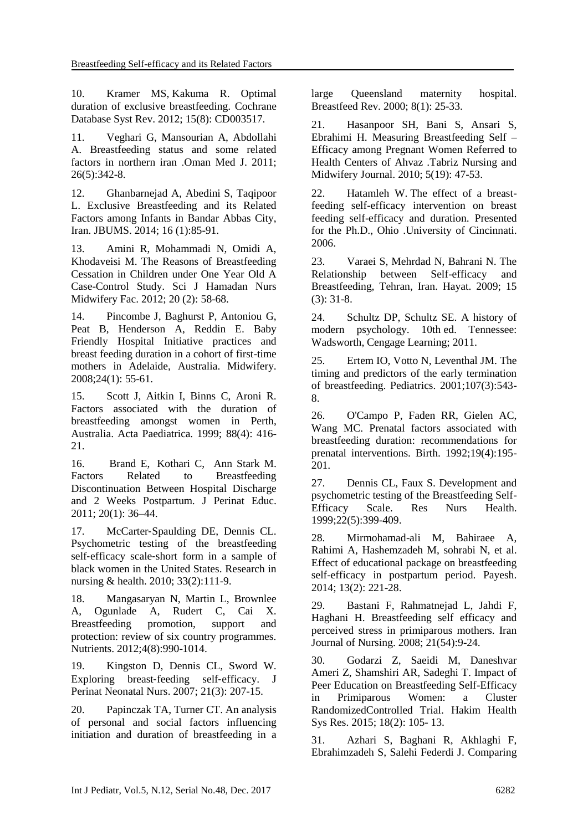10. [Kramer MS,](https://www.ncbi.nlm.nih.gov/pubmed/?term=Kramer%20MS%5BAuthor%5D&cauthor=true&cauthor_uid=22895934) [Kakuma R.](https://www.ncbi.nlm.nih.gov/pubmed/?term=Kakuma%20R%5BAuthor%5D&cauthor=true&cauthor_uid=22895934) Optimal duration of exclusive breastfeeding. [Cochrane](https://www.ncbi.nlm.nih.gov/pubmed/22895934)  [Database Syst Rev.](https://www.ncbi.nlm.nih.gov/pubmed/22895934) 2012; 15(8): CD003517.

11. Veghari G, Mansourian A, Abdollahi A. Breastfeeding status and some related factors in northern iran .Oman Med J. 2011; 26(5):342-8.

12. Ghanbarnejad A, Abedini S, Taqipoor L. Exclusive Breastfeeding and its Related Factors among Infants in Bandar Abbas City, Iran. JBUMS. 2014; 16 (1):85-91.

13. Amini R, Mohammadi N, Omidi A, Khodaveisi M. The Reasons of Breastfeeding Cessation in Children under One Year Old A Case-Control Study. Sci J Hamadan Nurs Midwifery Fac. 2012; 20 (2): 58-68.

14. Pincombe J, Baghurst P, Antoniou G, Peat B, Henderson A, Reddin E. Baby Friendly Hospital Initiative practices and breast feeding duration in a cohort of first-time mothers in Adelaide, Australia. Midwifery. 2008;24(1): 55-61.

15. Scott J, Aitkin I, Binns C, Aroni R. Factors associated with the duration of breastfeeding amongst women in Perth, Australia. Acta Paediatrica. 1999; 88(4): 416- 21.

16. [Brand](https://www.ncbi.nlm.nih.gov/pubmed/?term=Brand%20E%5BAuthor%5D&cauthor=true&cauthor_uid=22211058) E, [Kothari](https://www.ncbi.nlm.nih.gov/pubmed/?term=Kothari%20C%5BAuthor%5D&cauthor=true&cauthor_uid=22211058) C, [Ann Stark](https://www.ncbi.nlm.nih.gov/pubmed/?term=Stark%20MA%5BAuthor%5D&cauthor=true&cauthor_uid=22211058) M. Factors Related to Breastfeeding Discontinuation Between Hospital Discharge and 2 Weeks Postpartum. [J Perinat Educ.](https://www.ncbi.nlm.nih.gov/pmc/articles/PMC3209743/) 2011; 20(1): 36–44.

17. McCarter-Spaulding DE, Dennis CL. Psychometric testing of the breastfeeding self‐efficacy scale‐short form in a sample of black women in the United States. Research in nursing & health. 2010; 33(2):111-9.

18. Mangasaryan N, Martin L, Brownlee A, Ogunlade A, Rudert C, Cai X. Breastfeeding promotion, support and protection: review of six country programmes. Nutrients. 2012;4(8):990-1014.

19. Kingston D, Dennis CL, Sword W. Exploring breast-feeding self-efficacy. J Perinat Neonatal Nurs. 2007; 21(3): 207-15.

20. [Papinczak TA,](https://www.ncbi.nlm.nih.gov/pubmed/?term=Papinczak%20TA%5BAuthor%5D&cauthor=true&cauthor_uid=10842578) [Turner CT.](https://www.ncbi.nlm.nih.gov/pubmed/?term=Turner%20CT%5BAuthor%5D&cauthor=true&cauthor_uid=10842578) An analysis of personal and social factors influencing initiation and duration of breastfeeding in a large Queensland maternity hospital. [Breastfeed Rev.](https://www.ncbi.nlm.nih.gov/pubmed/10842578) 2000; 8(1): 25-33.

21. Hasanpoor SH, Bani S, Ansari S, Ebrahimi H. Measuring Breastfeeding Self – Efficacy among Pregnant Women Referred to Health Centers of Ahvaz .Tabriz Nursing and Midwifery Journal. 2010; 5(19): 47-53.

22. Hatamleh W. The effect of a breastfeeding self-efficacy intervention on breast feeding self-efficacy and duration. Presented for the Ph.D., Ohio .University of Cincinnati. 2006.

23. Varaei S, Mehrdad N, Bahrani N. The Relationship between Self-efficacy and Breastfeeding, Tehran, Iran. Hayat. 2009; 15 (3): 31-8.

24. Schultz DP, Schultz SE. A history of modern psychology. 10th ed. Tennessee: Wadsworth, Cengage Learning; 2011.

25. Ertem IO, Votto N, Leventhal JM. The timing and predictors of the early termination of breastfeeding. Pediatrics. 2001;107(3):543- 8.

26. O'Campo P, Faden RR, Gielen AC, Wang MC. Prenatal factors associated with breastfeeding duration: recommendations for prenatal interventions. Birth. 1992;19(4):195- 201.

27. Dennis CL, Faux S. Development and psychometric testing of the Breastfeeding Self-Efficacy Scale. Res Nurs Health. 1999;22(5):399-409.

28. Mirmohamad-ali M, Bahiraee A, Rahimi A, Hashemzadeh M, sohrabi N, et al. Effect of educational package on breastfeeding self-efficacy in postpartum period. Payesh. 2014; 13(2): 221-28.

29. Bastani F, Rahmatnejad L, Jahdi F, Haghani H. Breastfeeding self efficacy and perceived stress in primiparous mothers. Iran Journal of Nursing. 2008; 21(54):9-24.

30. Godarzi Z, Saeidi M, Daneshvar Ameri Z, Shamshiri AR, Sadeghi T. Impact of Peer Education on Breastfeeding Self-Efficacy in Primiparous Women: a Cluster RandomizedControlled Trial. Hakim Health Sys Res. 2015; 18(2): 105- 13.

31. Azhari S, Baghani R, Akhlaghi F, Ebrahimzadeh S, Salehi Federdi J. Comparing